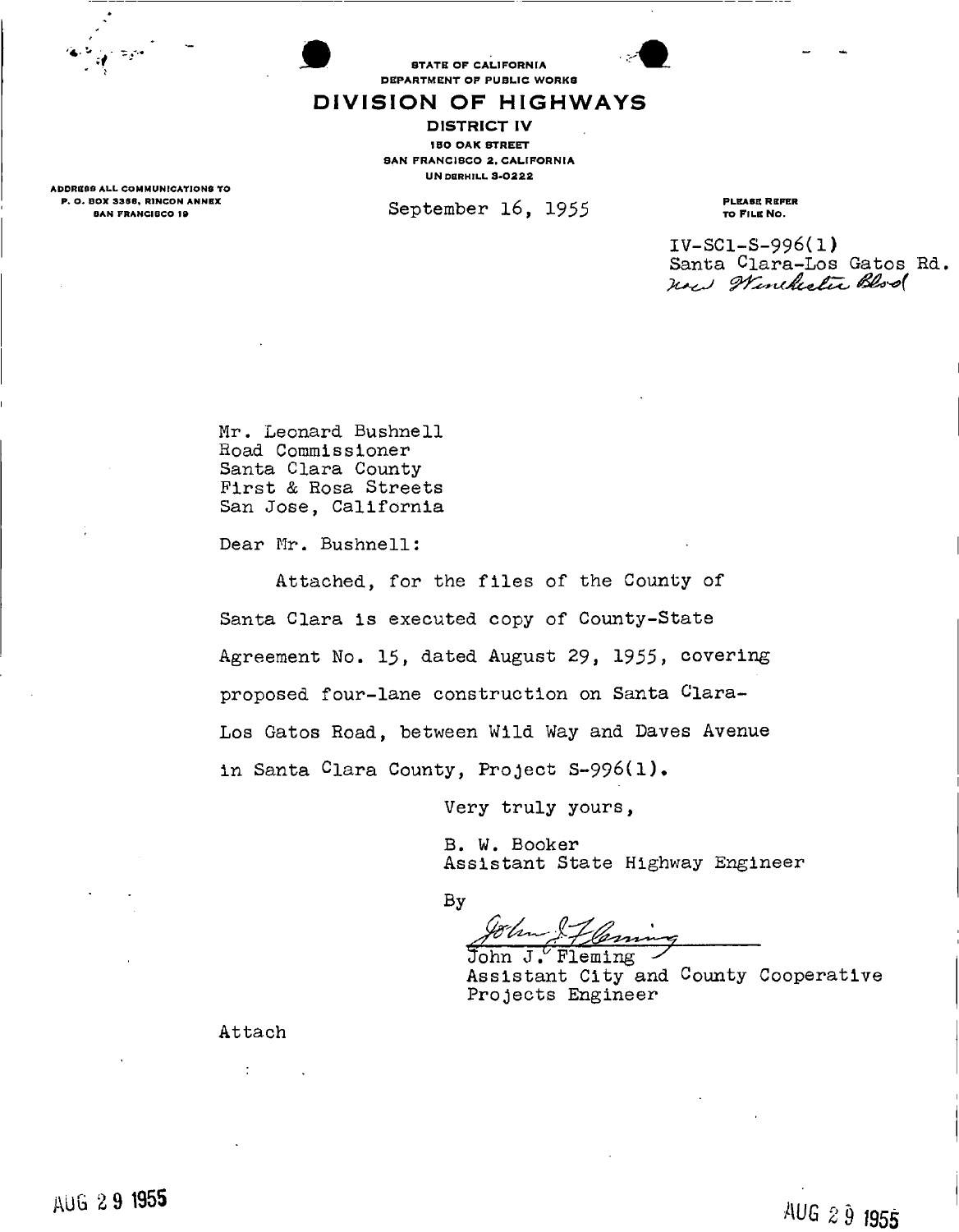

STATE OF CALIFORNIA DEPARTMENT OF PUBLIC WORKS

## DIVISION OF HIGHWAYS

DISTRICT IV **IBO OAK STREET** SAN FRANCISCO 2, CALIFORNIA **UN DERHILL 3-0222** 

 $September 16, 1955$  PLEASE REFER

TO FILE NO.

IV-SC1-S-996(1) Santa Clara-Los Gatos Rd.<br>New Winchester Bloo

Mr. Leonard Bushnell Hoad Commissioner Santa Clara County First & Rosa Streets San Jose, California

Dear Mr. Bushnell:

Attached, for the files of the County of Santa Clara is executed copy of County-State Agreement No. 15, dated August 29, 1955, covering proposed four-lane construction on Santa Clara-Los Gatos Road, between Wild Way and Daves Avenue in Santa Clara County, Project S-996(l).

Very truly yours,

B. W. Booker Assistant State Highway Engineer Assistant State Highway Engineer

**By** 

By

John  $J'$  Fleming Assistant City and County Cooperative Projects Engineer

ADDRESS ALL COMMUNICATIONS TO P. O. BOX 3366, RINCON ANNEX BAN FRANCISCO 19

Attach

÷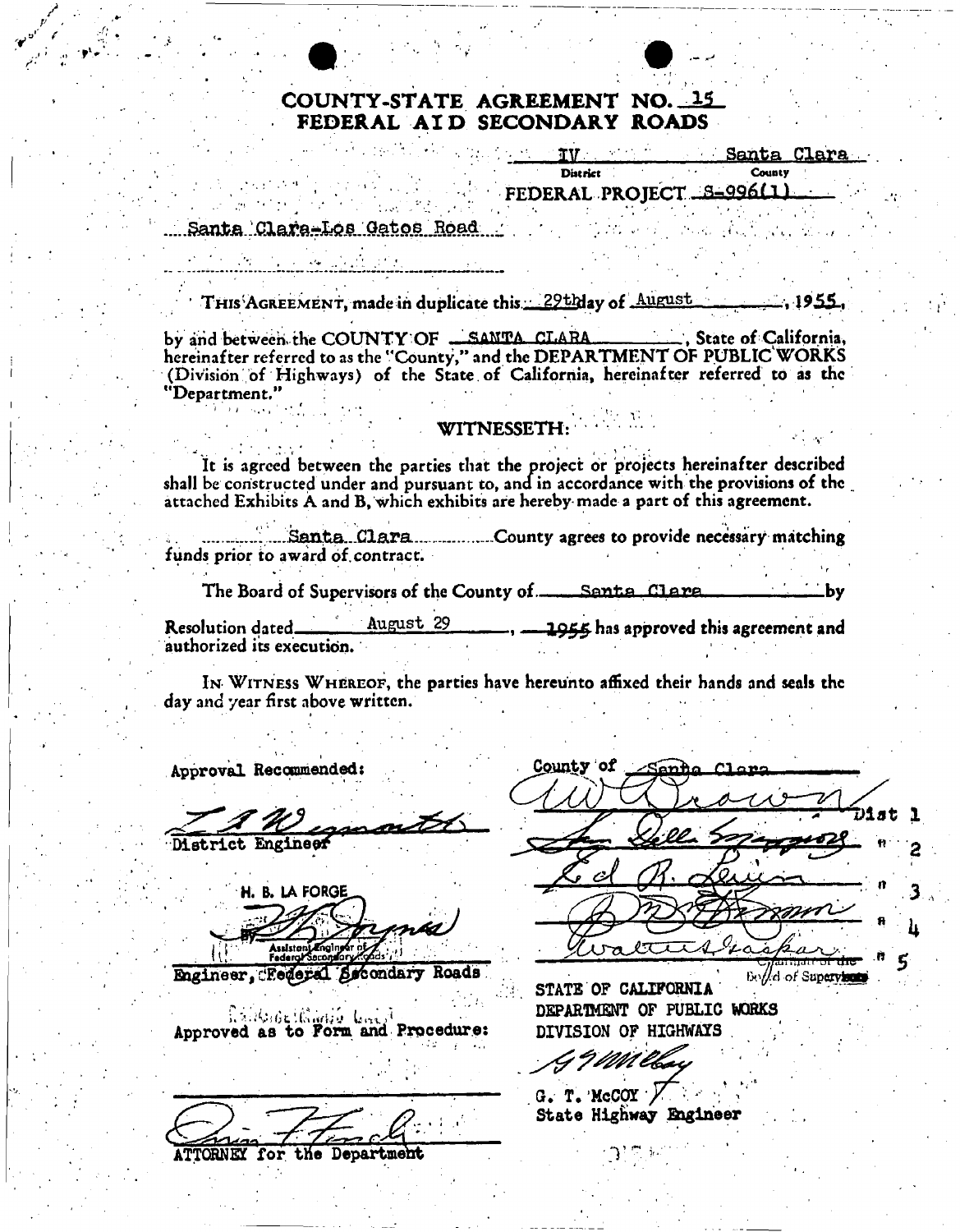

## COUNTY-STATE AGREEMENT NO. 15 FEDERAL ATD SECONDARY ROADS

77 T

**District** 

Santa Clara

County

# FEDERAL PROJECT S-996(1)

## Santa Clara-Los Gatos Road

THIS AGREEMENT, made in duplicate this 29thlay of August  $-.1955.$ 

State of California, by and between the COUNTY OF \_SANTA CLARA hereinafter referred to as the "County," and the DEPARTMENT OF PUBLIC WORKS (Division of Highways) of the State of California, hereinafter referred to as the "Department."

## **WITNESSETH:**

It is agreed between the parties that the project or projects hereinafter described shall be constructed under and pursuant to, and in accordance with the provisions of the attached Exhibits A and B, which exhibits are hereby made a part of this agreement.

Santa Clara .................County agrees to provide necessary matching funds prior to award of contract.

The Board of Supervisors of the County of Santa Clara  $\mathbf{-}\mathbf{b}\mathbf{v}$ 

August 29 1955 has approved this agreement and Resolution dated\_ authorized its execution.

IN WITNESS WHEREOF, the parties have hereunto affixed their hands and seals the day and year first above written.

Approval Recommended:

**District Engineer** 

H. B. LA FORGE

Engineer. Federal Secondary Roads

Approved as to Form and Procedure:

ATTORNEY for the Department

County of りえませ À.

Bollel of Supervisors STATE OF CALIFORNIA DEPARTMENT OF PUBLIC WORKS DIVISION OF HIGHWAYS

19*mae* 

 $G. T. McCOY.$ State Highway Engineer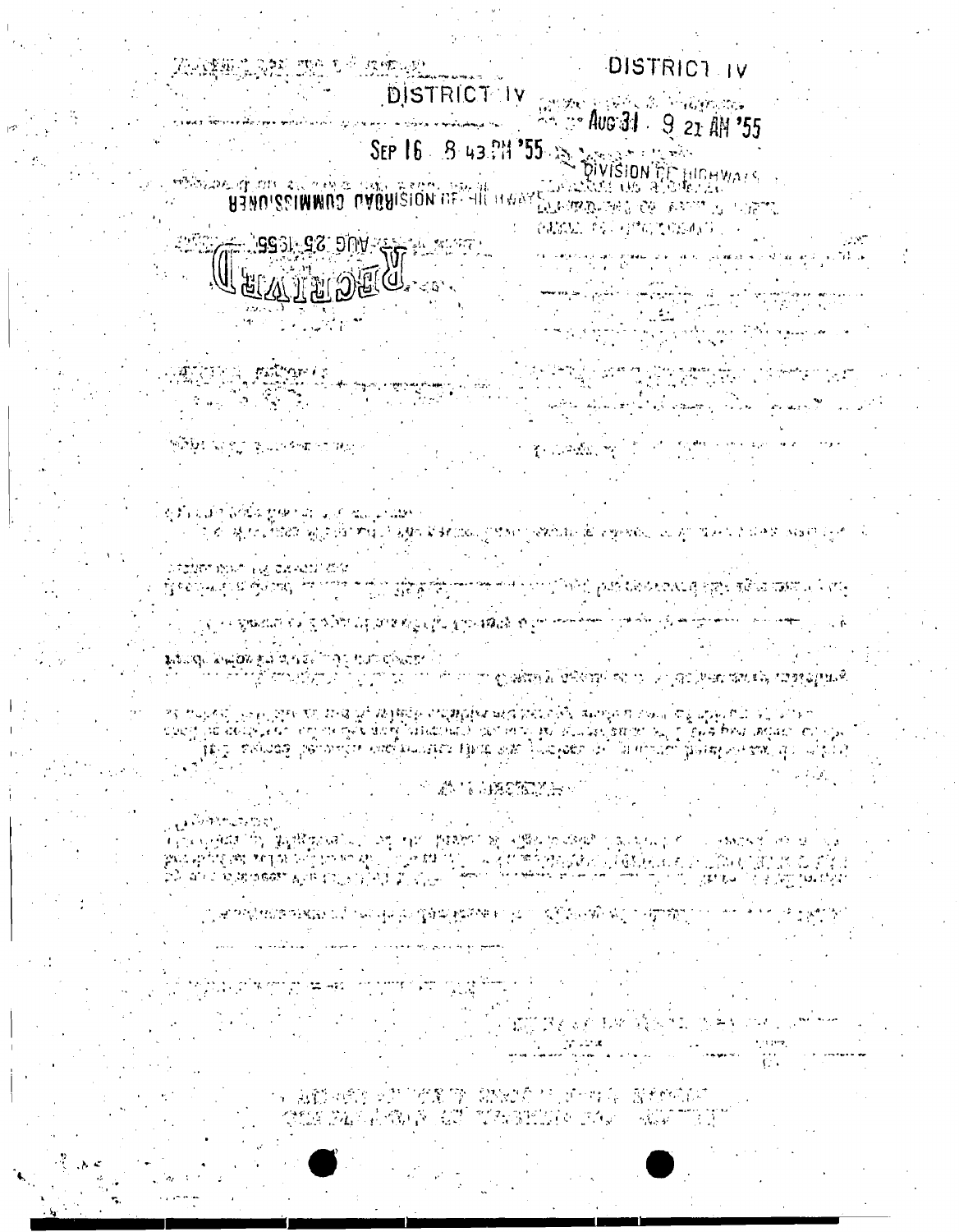#### 5、海野网络的女装的名额的 机偶状的 化水平电阻 医动物性脑炎 CONSTRUCTION IN THE TERRITORY OF THE STATE OF THE REAL PROPERTY OF THE STATE OF THE STATE OF THE STATE OF THE

المسلكة الأمريكية التعليم التي توقف والعرب التي توقع المسلم المعرفين والأمر التي المراري.<br>والتي توقف المراري الأربعي التي توقف المراريخ التي توقف المسلم التي توقف المسلم التي توقف المراريخ التي توقف ا THE REAL LIMITED TO BE THE COMPANY

ු ආපතියාශයෙන් වේ. මොල් ලිං ගීමක් කියන් වලට ග්රීඩලාම් කිල ලැබුවකුට

ال المنابعة المتحدث في <sub>ال</sub> ી દિવસ સમય છે. પ્રિયુષ્ટે જરૂર આ ગયું હતું હતું જ જ્યારે સુધિ પ્રિયુશ્ન છે. જે પણ સ્વયં હતું હતું કે સરકાર પોત<br>પ્રિયુશ્ન જિલ્લા આવેલાઓ પ્રાપ્ત થયું ગુજરાત્રી છે. ગામ પોલી જો સરકારી ગામ ઉદ્યોગ હતું છે. ઉરાત પ્રિયુશ્ન જ દાલ ે જોવામાં પીકે પ્રિણ પ્રમાણક

# A TELECATION

જ જિલ્લાનું પુરુષો છે. આ પ્રાપ્ય છે જિલ્લાનું જિલ્લાનું જિલ્લાનું જિલ્લાનું આવેલું જિલ્લાનું જિલ્લાનું જિલ્લાનું અને જિલ્લાનું જિલ્લાનું જિલ્લાનું જિલ્લાનું જિલ્લાનું જિલ્લાનું જિલ્લાનું જિલ્લાનું જિલ્લાનું જિલ્લાનું જિલ્લ ာင္း အသံအသံအျပင္ အေရးမိတ္ဖို႔ အလြတ္အေပၚမ်ားသည္ သြင္းမ်ားသည့္ အေရးမွာ အသံအေပၚမ်ားသည့္ အသံအေပၚမ်ားမ်ား အလုပ္သည့္<br>လည္း သူ သူတို့အတြက္ အမွတ္တို႔ သူတို႔ မိုးေရးမွာ သူတို႔ သူတို႔ သူတို႔ သူတို႔ သူတို႔ သူတို႔ သူတို႔ သူတို႔ သူတို႔

திருக்கும் தெய்வதற்கும் அடித்திராகும் கூரா எடுவிதா பொரி<br>இந்நிலை எனின் இன்றை இந்நிற்ற இரண்டியாளர் எனின் ஆழுகிக்கு இருகின்றும் கலந்த மற்று இதைக்கை தொடுத்தது துடிக்கிறத்

મું બેઈટ્રેન્સ ફિલ્મ બેંગ્રેંગમાં તેમ બજબ આયોગ મુખ્ય જાણવામાં આવેલો છોલ ડાઉનેટર છાલી ઇસ્તરણ પણ જાણવા જાણવાનું વ ્લ્યું તે જુશ્કર્શાણ શેત્ ગુજરૂરી દેશ રૂપિટ શેત્રું દ્વારા શેત્રું કે જીત શ્રીજી શેત્રો છે. આ તેના આવ્યો તે તુમ

ಸ್**ಪರ್ಚ್ 15**ರಿಗೆ 196 ರಷೆಗಳು? ದೆಗೆ

कुर्तीक शाहीत देवीपैक दूरको चार पानी आयानुमा प्रक्रित ত্ৰ কৰি মুখ্য এতিয়া বিদ্যালয় আৰু এজাৰ বিজ্ঞান আৰু সম্পৰ্কে কৰি বিজ্ঞান আৰু অন্য এক এক সংস্থা নতুন। এ

1. このか、今、こして

넘고아, 이번에 가지 하나요  $\mathcal{O}(\mathcal{A}^{\mathrm{int}}) \subset \mathcal{O}(\mathcal{A})$ اللايح ويعادها المعاددة الراجسية بالكرم الكاراف بدكيكم المناقصة ماست برع الداميات وقفورها শ্চিমিয় মাজত জ্বলাগৰালা সকল

المحار العداليسولا لأفاق ويعارفهم وأركبهم فالمحاج سوال والمدير ومعارضة الأرام المدير العكوم والمعاونة المديرة ومعامل الأسوالية المعارفة الأربعة الأربعة المديرة<br>والمديرة المستقبل المستقبل المديرة المستقبل المستقبل المستقبل المستقبل المستقبل المستقبل المستقبل المستقبل الم<br>

المراقية والترام ومكافئ فلأناط فلاعظ موسیق موجود میں میں آتا ہے ۔ اور اسلام میں کسی داخلوں کے حوالا میں<br>استعمال کو اس کا استعمال کرنے کی منتقل کی اس کا اس کا استعمال کرنے کی اس کا استعمال کرنے کی اس کا اس کا استعما<br>استعمال کے اس کا اس کے اس کا استعمال کرنے ک

**ALMERIAN'S OF ANY 10 USER** でおばない ちくらけんてきだいがく

SEP 16 8 43 PM 355 18 18 19 19 22 AM 33

DISTRICT IV CROWLER'S STRANGED **E. T. Aus 31** 9 21 AM '55

**DISTRICT IV** 

RANDER ON THE LANDING

网络硫化学 加工技术的过去式和过去分词

UUATUDIU

ANTER PARTIE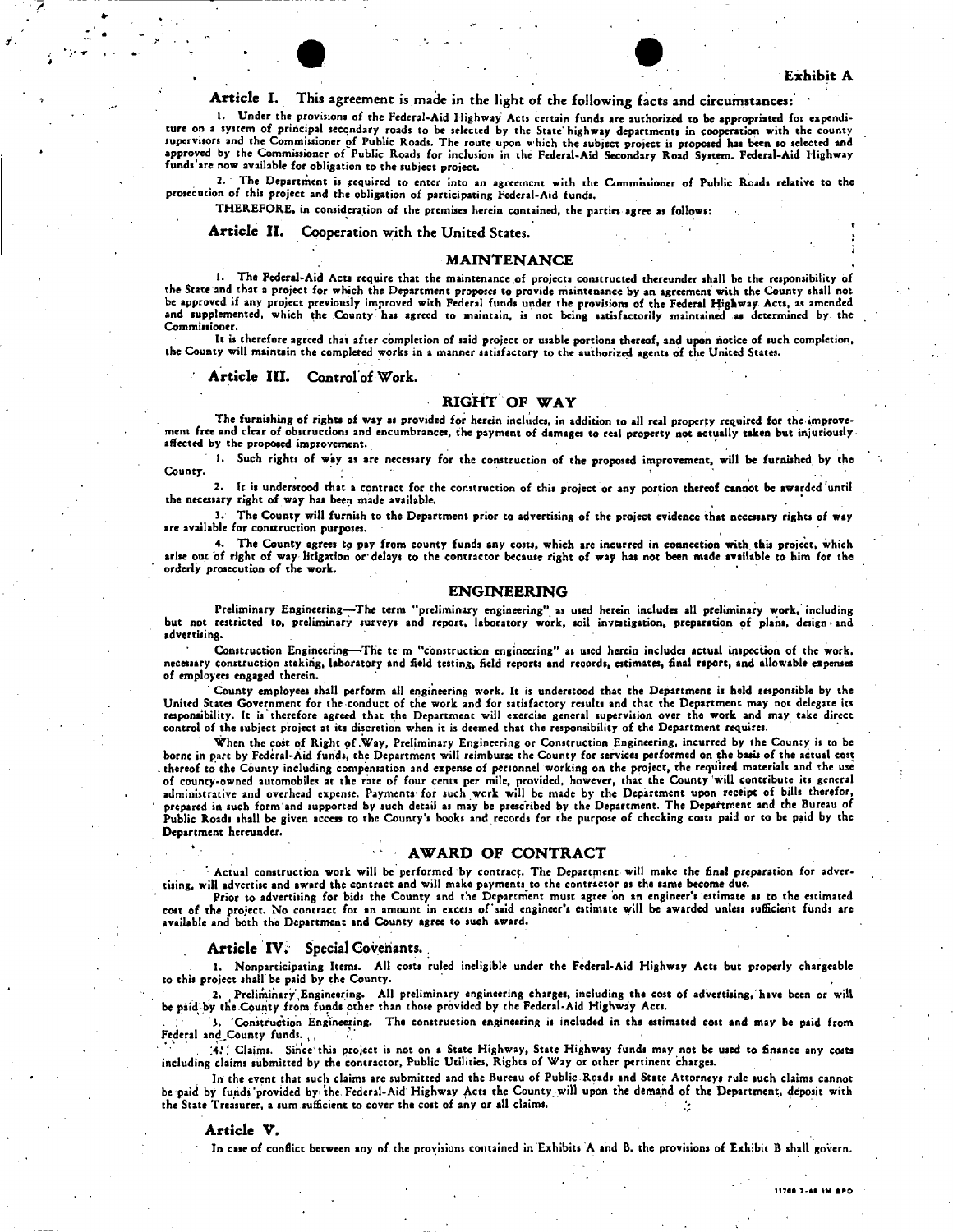## Article I. This agreement is made in the light of the following facts and circumstances:

1. Under the provisions of the Federal-Aid Highway Acts certain funds are authorized to be appropriated for expenditure on a system of principal secondary roads to be selected by the State'highway departments in cooperation with the county supervisors and the Commissioner of Public Roads. The route upon which the subject project is proposed has been so selected and<br>approved by the Commissioner of Public Roads for inclusion in the Federal-Aid Secondary Road S funds'arc now available for obligation to the subject project.

2. The Department is required to enter into an agreement with the Commissioner of Public Roads relative to the prosecution of this project and the obligation of participating Federal-Aid funds.

THEREFORE, in consideration of the premises herein contained, the parties agree as follows:

#### Article II. Cooperation with the United States.

#### **MAINTENANCE**

1. The Federal-Aid Acts require that the maintenance of projects constructed thereunder shall be the responsibility of the State and that a project for which the Department proposes to provide maintenance by an agreement with the County shall not be approved if any project previously improved with Federal funds under the provisions of the Federal Highway Acts, as amended and supplemented, which the County has agreed to maintain, is not being satisfactorily maintained as determined by the Commissioner.

It is therefore agreed that after completion of said project or usable portions thereof, and upon notice of such completion, the County will maintain the completed works in a manner satisfactory to the authorized agents of the United States.

#### Article III. Control of Work.

### RIGHT OF WAY

-The furnishing of rights of way as provided for herein includes, in addition to all real property required for the improve<br>ment free and clear of obstructions and encumbrances, the payment of damages to real property not affected by the proposed improvement.

1. Such rights of way as are necessary for the construction of the proposed improvement, will be furnished by the County. » •

2. It is understood that a contract for the construction of this project or any portion thereof cannot be awarded'until the necessary right of way has been made available.

J. The County will furnish to the Department prior to advertising of the project evidence that necessary rights of way are available for construction purposes.

4. The County agrees to pay from county funds any costs, which are incurred in connection with this project, which<br>arise out of right of way litigation or delays to the contractor because right of way has not been made ava orderly prosecution of the work.

#### ENGINEERING

Preliminary Engineering—The term "preliminary engineering" as used herein includes all preliminary work, including<br>but not restricted to, preliminary surveys and report, laboratory work, soil investigation, preparation of advertising.

Construction Engineering—The te m "construction engineering" as used herein includes actual inspection of the work,<br>necessary construction staking, laboratory and field testing, field reports and records, estimates, final of employees engaged therein.

County employees shall perform all engineering work. It is understood that the Department is held responsible by the United States Government for the conduct of the work and for satisfactory results and that the Department may not delegate its responsibility. It is therefore agreed that the Department will exercise general supervision over the work and may take direct control of the subject project at its discretion when it is deemed that the responsibility of the Department requires.

When the cost of Right of .Way, Preliminary Engineering or Construction Engineering, incurred by the County is to be borne in part by Federal-Aid funds, the Department will reimburse the County for services performed on the basis of the actual cost . thereof to the County including compensation and expense of personnel working on the project, the required materials and the use of county-owned automobiles at the rate of four cents per mile, provided, however, that the County will contribute its general administrative and overhead expense. Payments for such work will be made by the Department upon receipt of bills therefor, prepared in such form 'and supported by such detail as may be prescribed by the Department. The Department and the Bureau of Public Roads shall be given access to the County's books and records for the purpose of checking costs paid or to be paid by the Department hereunder.

#### AWARD OF CONTRACT

Actual construction work will be performed by contract. The Department will make the final preparation for advertising, will advertise and award the contract and will make payments to the contractor as the same become due.

Prior to advertising for bids the County and the Department must agree on an engineer's estimate as to the estimated cost of the project. No contract for an amount in excess of'said engineer's estimate witl be awarded unless sufficient funds are available and both the Department and County agree to such award.

#### Article IV. Special Covenants..

1. Nonparticipating Items. All costs ruled ineligible under the Federal-Aid Highway Acts but properly chargeable to this project shall be paid by the County.

2. Preliminary Engineering. All preliminary engineering charges, including the cost of advertising, have been or will be paid by the County from funds other than those provided by the Federal-Aid Highway Acts.

'). Construction Engineering. The construction engineering is included in the estimated cost and may be paid from Federal and County funds.

A!'. Claims. Since'this project is not on a State Highway, State Highway funds may not be used to finance any costs including claims submitted by the contractor, Public Utilities, Rights of Way or other pertinent charges.

In the event that such claims are submitted and the Bureau of Public.Roads and State Attorneys rule such claims cannot be paid by funds'provided by the Federal-Aid Highway Acts the County will upon the demand of the Department, deposit with the State Treasurer, a sum sufficient to cover the cost of any or all claims.

#### Article V.

In case of conflict between any of the provisions contained in Exhibits A and B, the provisions of Exhibit B shall govern.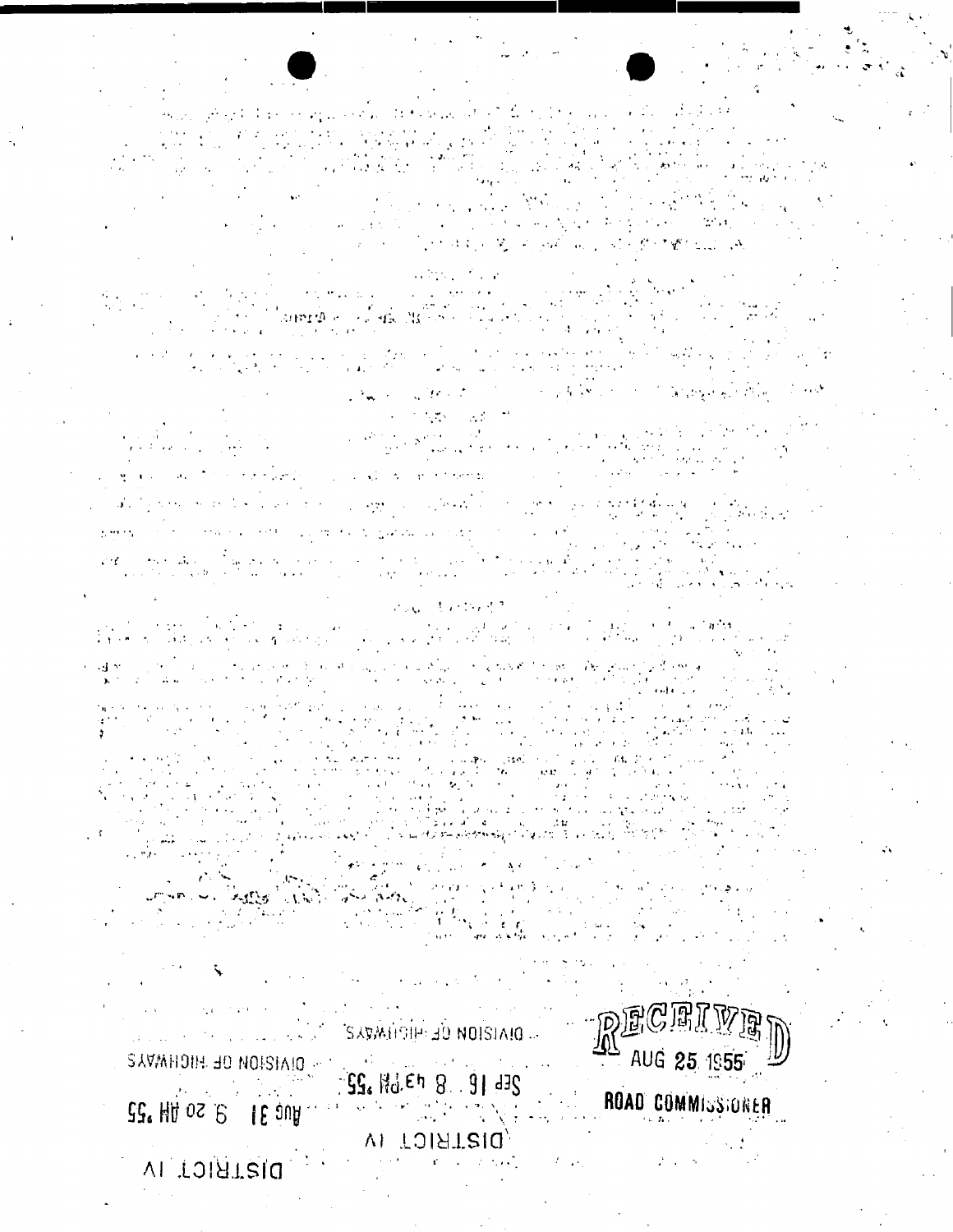RECE **SAVALICITY JO NOISIAIO.** SE. Hd.Eh 8 91 478

AUG 25 1955

ROAD COMMISSIONER

VI TOIRTEIQ

DISTRICT IV

SAVANDIH JO NOISIAIO -

20 HA OS P. 18 JUA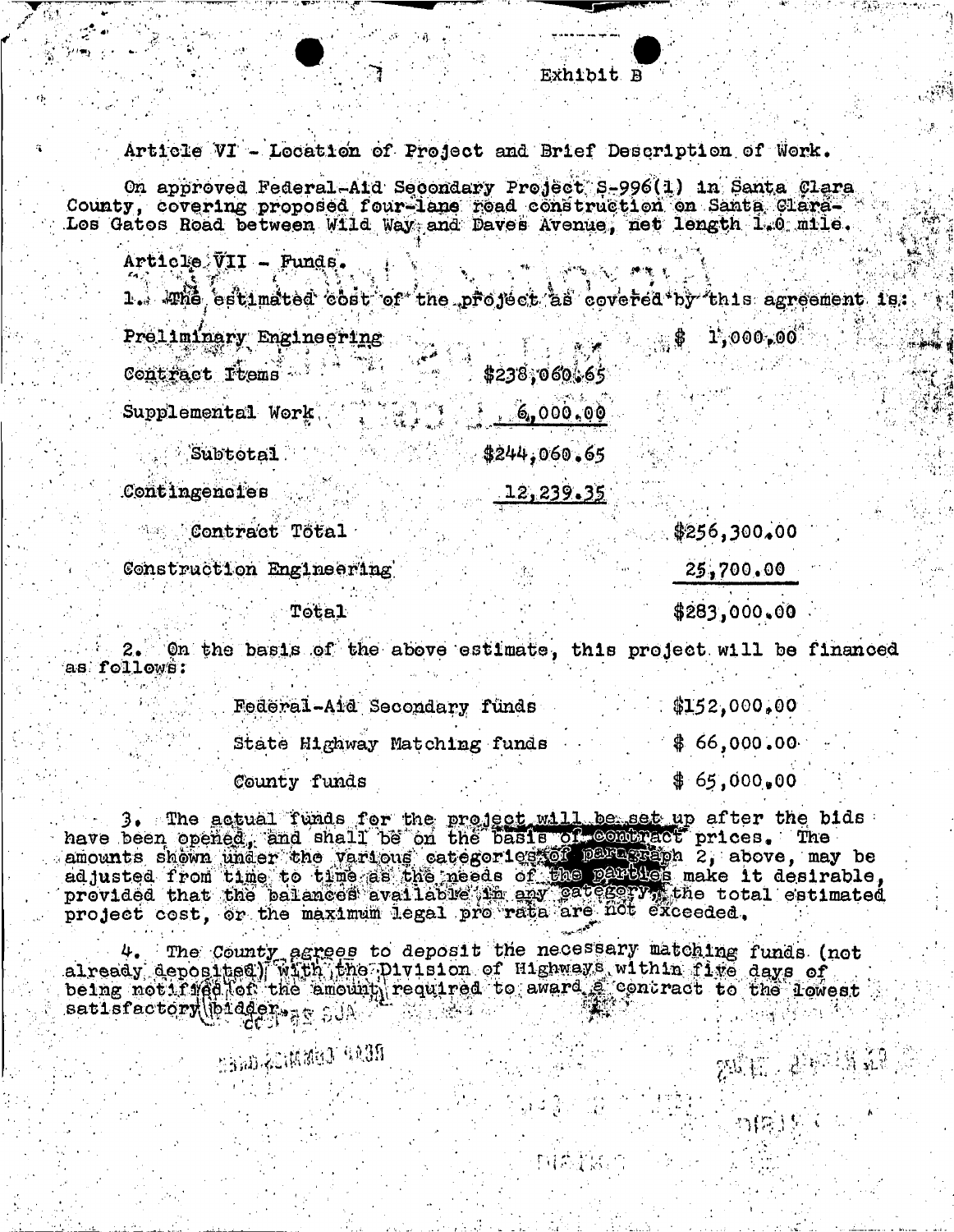Article VI - Location of Project and Brief Description of Work.

On approved Federal-Aid Secondary Project S-996(1) in Santa Clara. County, covering proposed four-lane road construction on Santa Glara-<br>Los Gatos Road between Wild Way and Daves Avenue, not length 1.0 mile.

Article VII - Funds.

1. The estimated cost of the project as covered by this agreement is.

Preliminary Engineering Contract Items \$238,060,65  $6,000,00$ Supplemental Work Subtotal  $3244.060.65$ Contingencies 12,239.35

**As Contract Total** 

Construction Engineering

Total

25,700.00

 $$256,300,00$ 

,\$ 1,000,00<sup>4</sup>

\$283,000.00

 $\mathbb{Z}^{d_{\mathbb{Z}}^{n}}$  ,  $\mathbb{Z}^{d_{\mathbb{Z}}^{n+1}}$ 

27(第)

On the basis of the above estimate, this project will be financed  $2.1$ as follows:

|              | Federal-Aid Secondary funds  | \$152,000,00 |
|--------------|------------------------------|--------------|
|              | State Highway Matching funds | \$66,000.00  |
| County funds |                              | \$65,000,00  |

3. The actual funds for the project will be set up after the bids<br>have been opened, and shall be on the basis of combract prices. The<br>amounts shown under the various categories for paragraph 2, above, may be<br>edjusted from

4. The County agrees to deposit the necessary matching funds (not already deposited) with the Plyision of Highways within five days of already deposited in the plyision of Highways within five days of came to the lowest satisfactory()bidders<sub>24</sub> SUA

neap temmis, ann